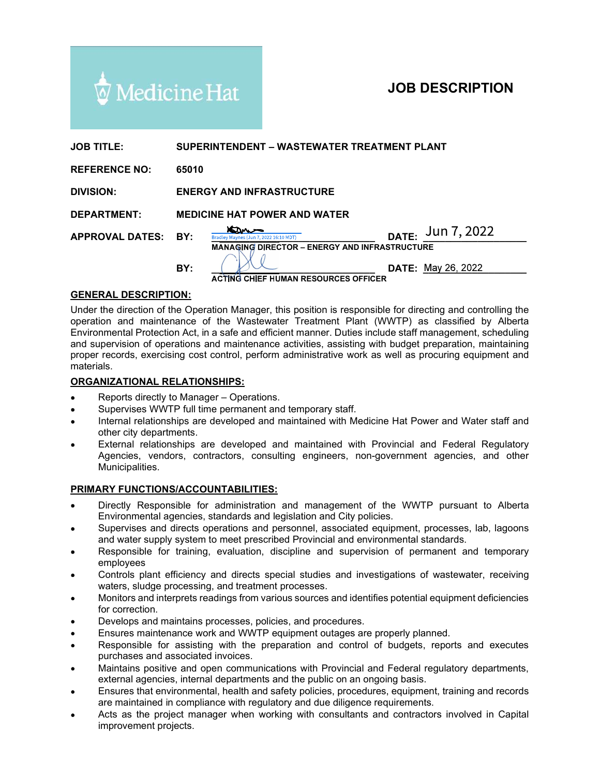

| $\overline{\mathbb{Q}}$ Medicine Hat |                                                                                                                                          | <b>JOB DESCRIPTION</b>                                                                                                                                                                                                                                                                                                                                                                                                                                                                                                                          |
|--------------------------------------|------------------------------------------------------------------------------------------------------------------------------------------|-------------------------------------------------------------------------------------------------------------------------------------------------------------------------------------------------------------------------------------------------------------------------------------------------------------------------------------------------------------------------------------------------------------------------------------------------------------------------------------------------------------------------------------------------|
|                                      |                                                                                                                                          |                                                                                                                                                                                                                                                                                                                                                                                                                                                                                                                                                 |
| <b>JOB TITLE:</b>                    |                                                                                                                                          | SUPERINTENDENT – WASTEWATER TREATMENT PLANT                                                                                                                                                                                                                                                                                                                                                                                                                                                                                                     |
| <b>REFERENCE NO:</b>                 | 65010                                                                                                                                    |                                                                                                                                                                                                                                                                                                                                                                                                                                                                                                                                                 |
| <b>DIVISION:</b>                     | <b>ENERGY AND INFRASTRUCTURE</b>                                                                                                         |                                                                                                                                                                                                                                                                                                                                                                                                                                                                                                                                                 |
| <b>DEPARTMENT:</b>                   | <b>MEDICINE HAT POWER AND WATER</b>                                                                                                      |                                                                                                                                                                                                                                                                                                                                                                                                                                                                                                                                                 |
| <b>APPROVAL DATES:</b>               | DATE: Jun 7, 2022<br><u>ans</u><br>BY:<br>Bradley Maynes (Jun 7, 2022 16:10 MDT)<br><b>MANAGING DIRECTOR - ENERGY AND INFRASTRUCTURE</b> |                                                                                                                                                                                                                                                                                                                                                                                                                                                                                                                                                 |
|                                      | BY:                                                                                                                                      | <b>DATE: May 26, 2022</b><br><b>ACTING CHIEF HUMAN RESOURCES OFFICER</b>                                                                                                                                                                                                                                                                                                                                                                                                                                                                        |
| <b>GENERAL DESCRIPTION:</b>          |                                                                                                                                          |                                                                                                                                                                                                                                                                                                                                                                                                                                                                                                                                                 |
| materials.                           |                                                                                                                                          | Under the direction of the Operation Manager, this position is responsible for directing and controlling the<br>operation and maintenance of the Wastewater Treatment Plant (WWTP) as classified by Alberta<br>Environmental Protection Act, in a safe and efficient manner. Duties include staff management, scheduling<br>and supervision of operations and maintenance activities, assisting with budget preparation, maintaining<br>proper records, exercising cost control, perform administrative work as well as procuring equipment and |
| <b>ORGANIZATIONAL RELATIONSHIPS:</b> |                                                                                                                                          |                                                                                                                                                                                                                                                                                                                                                                                                                                                                                                                                                 |
|                                      |                                                                                                                                          |                                                                                                                                                                                                                                                                                                                                                                                                                                                                                                                                                 |

### GENERAL DESCRIPTION:

Under the direction of the Operation Manager, this position is responsible for directing and controlling the operation and maintenance of the Wastewater Treatment Plant (WWTP) as classified by Alberta and supervision of operations and maintenance activities, assisting with budget preparation, maintaining proper records, exercising cost control, perform administrative work as well as procuring equipment and materials. **RAL DESCRIPTION:**<br> **Schemation** and minichennes of the Wastewater Treatment Plant (WWTP) as classified by Albertamental Protection of the Operation Manager, this position is responsible for directing and controlling the m

#### ORGANIZATIONAL RELATIONSHIPS:

- Reports directly to Manager Operations.
- Supervises WWTP full time permanent and temporary staff.
- Internal relationships are developed and maintained with Medicine Hat Power and Water staff and other city departments.
- External relationships are developed and maintained with Provincial and Federal Regulatory Agencies, vendors, contractors, consulting engineers, non-government agencies, and other Municipalities.

#### PRIMARY FUNCTIONS/ACCOUNTABILITIES:

- Directly Responsible for administration and management of the WWTP pursuant to Alberta Environmental agencies, standards and legislation and City policies.
- and water supply system to meet prescribed Provincial and environmental standards.
- Responsible for training, evaluation, discipline and supervision of permanent and temporary employees
- Controls plant efficiency and directs special studies and investigations of wastewater, receiving waters, sludge processing, and treatment processes.
- Monitors and interprets readings from various sources and identifies potential equipment deficiencies for correction.
- Develops and maintains processes, policies, and procedures.
- Ensures maintenance work and WWTP equipment outages are properly planned.
- Responsible for assisting with the preparation and control of budgets, reports and executes purchases and associated invoices.
- Maintains positive and open communications with Provincial and Federal regulatory departments, external agencies, internal departments and the public on an ongoing basis.
- Ensures that environmental, health and safety policies, procedures, equipment, training and records are maintained in compliance with regulatory and due diligence requirements.
- Acts as the project manager when working with consultants and contractors involved in Capital improvement projects.